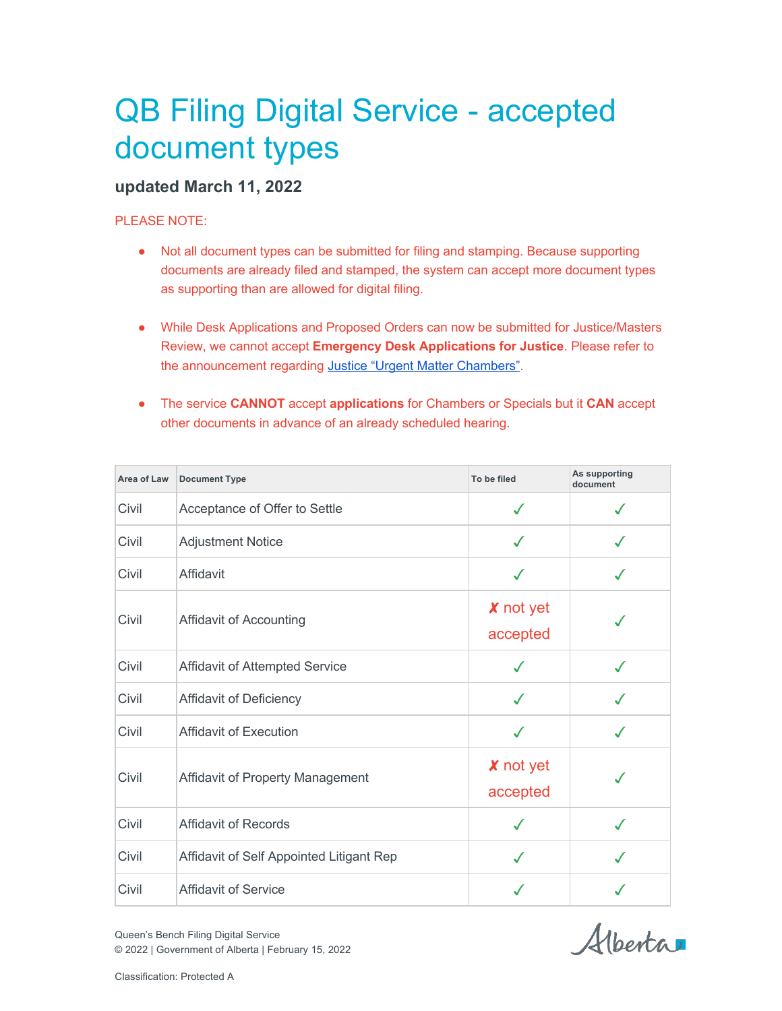## QB Filing Digital Service - accepted document types

## **updated March 11, 2022**

## PLEASE NOTE:

- Not all document types can be submitted for filing and stamping. Because supporting documents are already filed and stamped, the system can accept more document types as supporting than are allowed for digital filing.
- While Desk Applications and Proposed Orders can now be submitted for Justice/Masters Review, we cannot accept **Emergency Desk Applications for Justice**. Please refer to the announcement regarding Justice "Urgent Matter Chambers".
- The service **CANNOT** accept **applications** for Chambers or Specials but it **CAN** accept other documents in advance of an already scheduled hearing.

| Area of Law | <b>Document Type</b>                     | To be filed                  | As supporting<br>document |
|-------------|------------------------------------------|------------------------------|---------------------------|
| Civil       | Acceptance of Offer to Settle            | $\checkmark$                 |                           |
| Civil       | <b>Adjustment Notice</b>                 | $\checkmark$                 | $\checkmark$              |
| Civil       | Affidavit                                | ✓                            |                           |
| Civil       | Affidavit of Accounting                  | <b>X</b> not yet<br>accepted |                           |
| Civil       | <b>Affidavit of Attempted Service</b>    | J                            |                           |
| Civil       | Affidavit of Deficiency                  | √                            |                           |
| Civil       | <b>Affidavit of Execution</b>            | J                            |                           |
| Civil       | Affidavit of Property Management         | <b>X</b> not yet<br>accepted |                           |
| Civil       | Affidavit of Records                     | √                            | $\checkmark$              |
| Civil       | Affidavit of Self Appointed Litigant Rep | $\checkmark$                 |                           |
| Civil       | <b>Affidavit of Service</b>              | J                            |                           |

Alberta

Queen's Bench Filing Digital Service © 2022 | Government of Alberta | February 15, 2022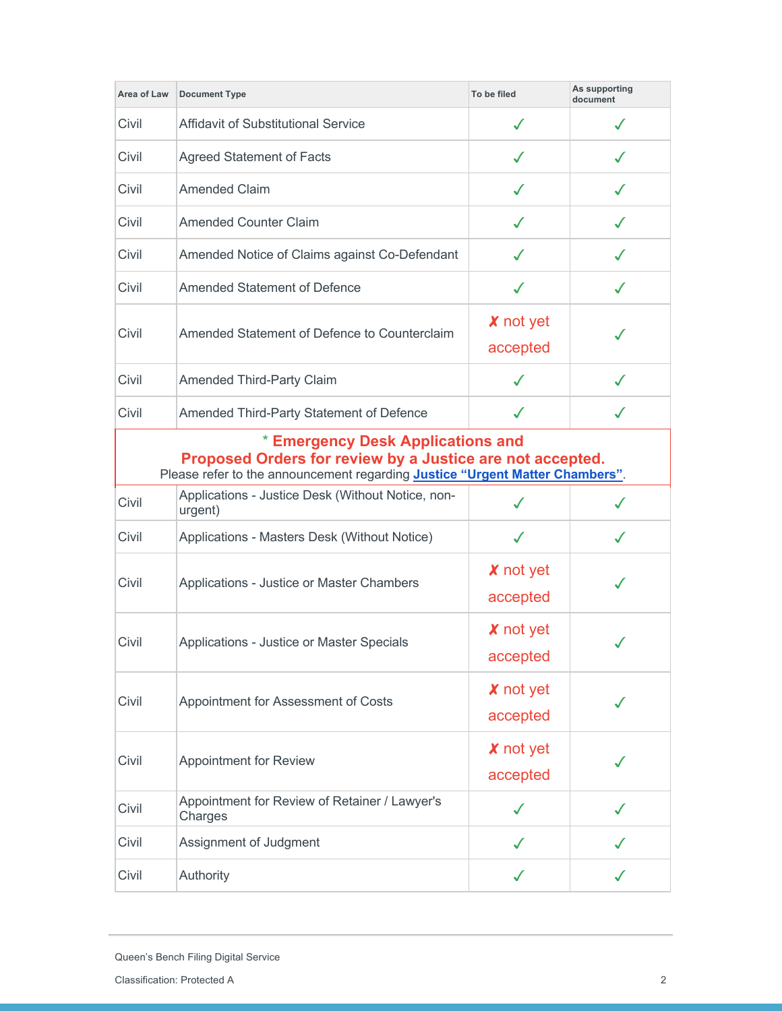| Area of Law                                                                                                                                                                    | <b>Document Type</b>                                         | To be filed                  | As supporting<br>document |
|--------------------------------------------------------------------------------------------------------------------------------------------------------------------------------|--------------------------------------------------------------|------------------------------|---------------------------|
| Civil                                                                                                                                                                          | <b>Affidavit of Substitutional Service</b>                   | ✓                            | ✓                         |
| Civil                                                                                                                                                                          | <b>Agreed Statement of Facts</b>                             | ✓                            | ℳ                         |
| Civil                                                                                                                                                                          | <b>Amended Claim</b>                                         | $\checkmark$                 | ✓                         |
| Civil                                                                                                                                                                          | <b>Amended Counter Claim</b>                                 | ✓                            | $\checkmark$              |
| Civil                                                                                                                                                                          | Amended Notice of Claims against Co-Defendant                | ✓                            | ✓                         |
| Civil                                                                                                                                                                          | <b>Amended Statement of Defence</b>                          | ✓                            |                           |
| Civil                                                                                                                                                                          | Amended Statement of Defence to Counterclaim                 | X not yet<br>accepted        |                           |
| Civil                                                                                                                                                                          | <b>Amended Third-Party Claim</b>                             | √                            |                           |
| Civil                                                                                                                                                                          | Amended Third-Party Statement of Defence                     | ✓                            | J                         |
| * Emergency Desk Applications and<br>Proposed Orders for review by a Justice are not accepted.<br>Please refer to the announcement regarding Justice "Urgent Matter Chambers". |                                                              |                              |                           |
| Civil                                                                                                                                                                          | Applications - Justice Desk (Without Notice, non-<br>urgent) |                              |                           |
| Civil                                                                                                                                                                          | Applications - Masters Desk (Without Notice)                 | $\checkmark$                 | ✓                         |
| Civil                                                                                                                                                                          | Applications - Justice or Master Chambers                    | X not yet<br>accepted        | $\checkmark$              |
| Civil                                                                                                                                                                          | Applications - Justice or Master Specials                    | <b>X</b> not yet<br>accepted |                           |
| Civil                                                                                                                                                                          | Appointment for Assessment of Costs                          | <b>X</b> not yet<br>accepted |                           |
| Civil                                                                                                                                                                          | <b>Appointment for Review</b>                                | <b>X</b> not yet<br>accepted |                           |
| Civil                                                                                                                                                                          | Appointment for Review of Retainer / Lawyer's<br>Charges     | √                            |                           |
| Civil                                                                                                                                                                          | Assignment of Judgment                                       | ✓                            |                           |
| Civil                                                                                                                                                                          | Authority                                                    | ✓                            |                           |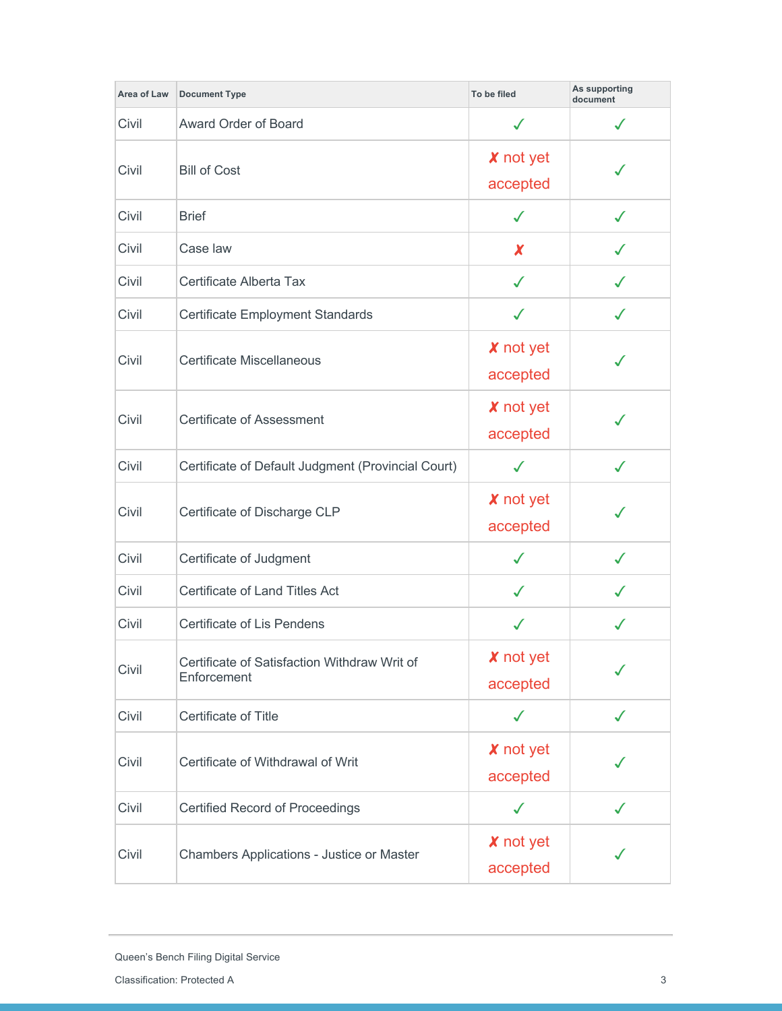| Area of Law | <b>Document Type</b>                                        | To be filed                  | As supporting<br>document |
|-------------|-------------------------------------------------------------|------------------------------|---------------------------|
| Civil       | Award Order of Board                                        | ✓                            | $\checkmark$              |
| Civil       | <b>Bill of Cost</b>                                         | <b>X</b> not yet<br>accepted |                           |
| Civil       | <b>Brief</b>                                                | ✓                            | $\checkmark$              |
| Civil       | Case law                                                    | X                            | ✓                         |
| Civil       | Certificate Alberta Tax                                     | $\checkmark$                 | ✓                         |
| Civil       | Certificate Employment Standards                            | $\checkmark$                 | $\checkmark$              |
| Civil       | Certificate Miscellaneous                                   | <b>X</b> not yet<br>accepted |                           |
| Civil       | Certificate of Assessment                                   | <b>X</b> not yet<br>accepted |                           |
| Civil       | Certificate of Default Judgment (Provincial Court)          | $\checkmark$                 | $\checkmark$              |
| Civil       | Certificate of Discharge CLP                                | <b>X</b> not yet<br>accepted |                           |
| Civil       | Certificate of Judgment                                     | $\checkmark$                 | ✓                         |
| Civil       | Certificate of Land Titles Act                              | J                            |                           |
| Civil       | <b>Certificate of Lis Pendens</b>                           | ✓                            |                           |
| Civil       | Certificate of Satisfaction Withdraw Writ of<br>Enforcement | X not yet<br>accepted        |                           |
| Civil       | Certificate of Title                                        | $\checkmark$                 | $\checkmark$              |
| Civil       | Certificate of Withdrawal of Writ                           | <b>X</b> not yet<br>accepted |                           |
| Civil       | <b>Certified Record of Proceedings</b>                      | $\checkmark$                 | $\checkmark$              |
| Civil       | Chambers Applications - Justice or Master                   | <b>X</b> not yet<br>accepted |                           |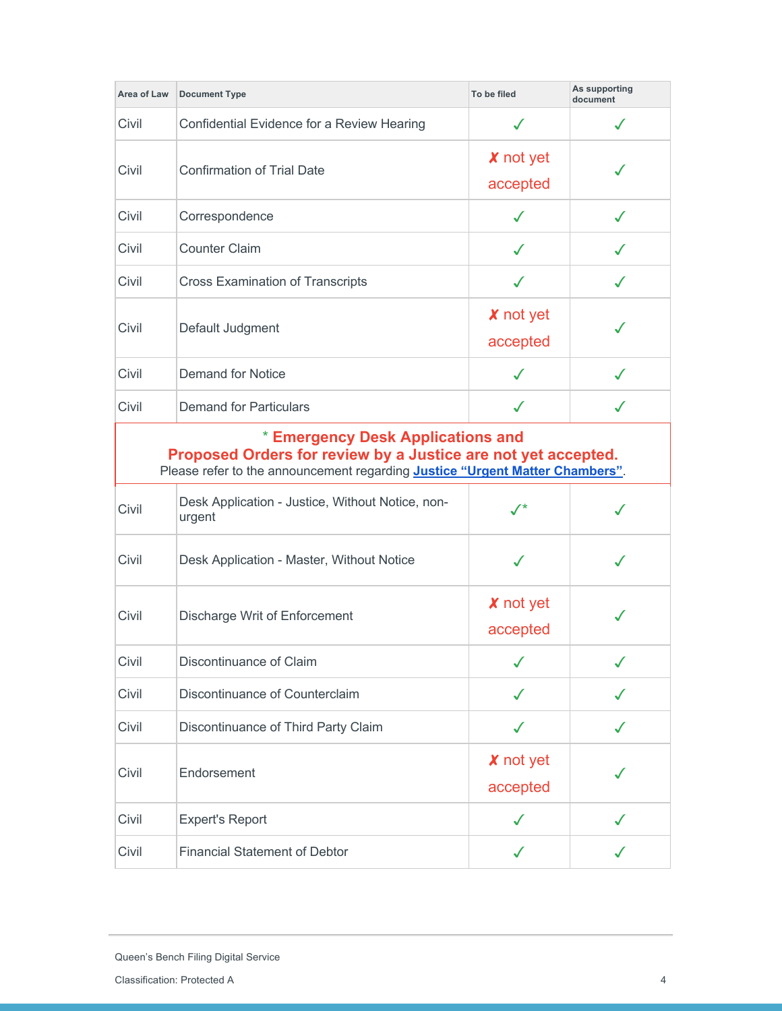| Area of Law                                                                                                                                                                        | <b>Document Type</b>                                       | To be filed                  | As supporting<br>document |
|------------------------------------------------------------------------------------------------------------------------------------------------------------------------------------|------------------------------------------------------------|------------------------------|---------------------------|
| Civil                                                                                                                                                                              | Confidential Evidence for a Review Hearing                 | ✓                            | $\checkmark$              |
| Civil                                                                                                                                                                              | <b>Confirmation of Trial Date</b>                          | X not yet<br>accepted        |                           |
| Civil                                                                                                                                                                              | Correspondence                                             | ✓                            | $\checkmark$              |
| Civil                                                                                                                                                                              | <b>Counter Claim</b>                                       | ✓                            | ✓                         |
| Civil                                                                                                                                                                              | <b>Cross Examination of Transcripts</b>                    | ✓                            | $\checkmark$              |
| Civil                                                                                                                                                                              | Default Judgment                                           | <b>X</b> not yet<br>accepted |                           |
| Civil                                                                                                                                                                              | <b>Demand for Notice</b>                                   | ✓                            | $\checkmark$              |
| Civil                                                                                                                                                                              | <b>Demand for Particulars</b>                              | ✓                            | ✓                         |
| * Emergency Desk Applications and<br>Proposed Orders for review by a Justice are not yet accepted.<br>Please refer to the announcement regarding Justice "Urgent Matter Chambers". |                                                            |                              |                           |
| Civil                                                                                                                                                                              | Desk Application - Justice, Without Notice, non-<br>urgent | $\checkmark$                 |                           |
| Civil                                                                                                                                                                              | Desk Application - Master, Without Notice                  |                              |                           |
| Civil                                                                                                                                                                              | Discharge Writ of Enforcement                              | X not yet<br>accepted        |                           |
| Civil                                                                                                                                                                              | Discontinuance of Claim                                    |                              |                           |
| Civil                                                                                                                                                                              | Discontinuance of Counterclaim                             | ✓                            |                           |
| Civil                                                                                                                                                                              | Discontinuance of Third Party Claim                        | $\checkmark$                 | ✓                         |
| Civil                                                                                                                                                                              | Endorsement                                                | <b>X</b> not yet<br>accepted |                           |
| Civil                                                                                                                                                                              | <b>Expert's Report</b>                                     | $\checkmark$                 | ✓                         |
| Civil                                                                                                                                                                              | <b>Financial Statement of Debtor</b>                       | $\checkmark$                 | J                         |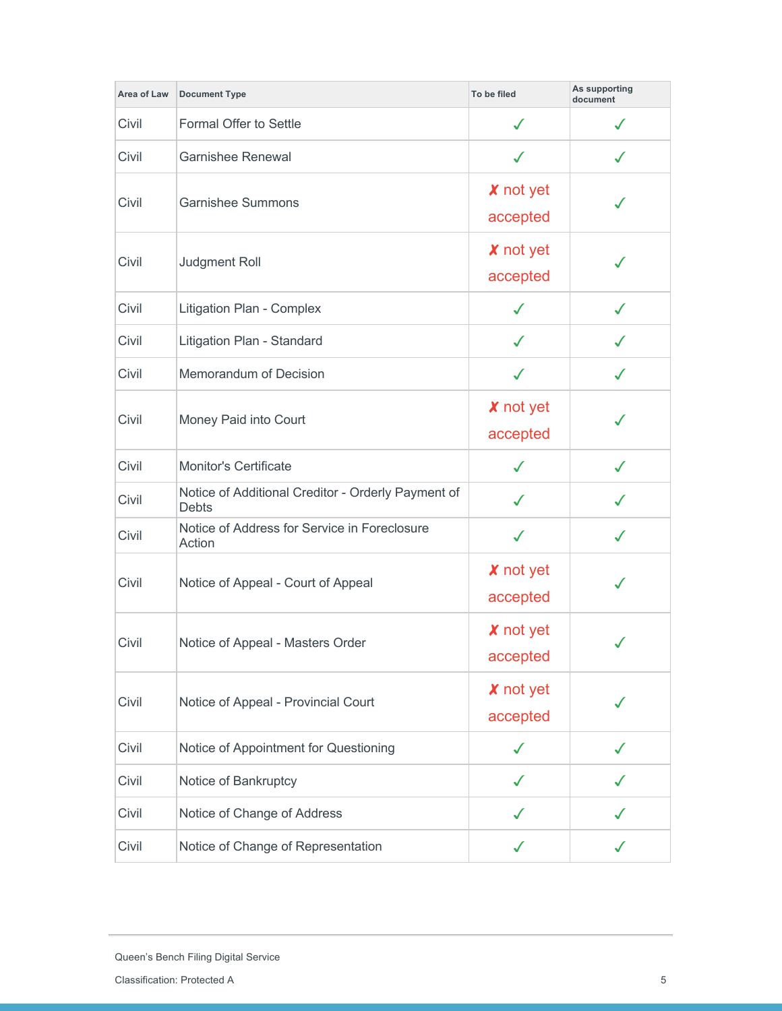| Area of Law | <b>Document Type</b>                                               | To be filed                  | As supporting<br>document |
|-------------|--------------------------------------------------------------------|------------------------------|---------------------------|
| Civil       | Formal Offer to Settle                                             | ✓                            | ✓                         |
| Civil       | <b>Garnishee Renewal</b>                                           | $\checkmark$                 | $\checkmark$              |
| Civil       | <b>Garnishee Summons</b>                                           | <b>X</b> not yet<br>accepted |                           |
| Civil       | Judgment Roll                                                      | <b>X</b> not yet<br>accepted |                           |
| Civil       | Litigation Plan - Complex                                          | $\checkmark$                 |                           |
| Civil       | Litigation Plan - Standard                                         | ✓                            | ✓                         |
| Civil       | Memorandum of Decision                                             | $\checkmark$                 | $\checkmark$              |
| Civil       | Money Paid into Court                                              | X not yet<br>accepted        |                           |
| Civil       | <b>Monitor's Certificate</b>                                       | $\checkmark$                 | $\checkmark$              |
| Civil       | Notice of Additional Creditor - Orderly Payment of<br><b>Debts</b> | ✓                            |                           |
| Civil       | Notice of Address for Service in Foreclosure<br>Action             | $\checkmark$                 | $\checkmark$              |
| Civil       | Notice of Appeal - Court of Appeal                                 | <b>X</b> not yet<br>accepted |                           |
| Civil       | Notice of Appeal - Masters Order                                   | <b>X</b> not yet<br>accepted |                           |
| Civil       | Notice of Appeal - Provincial Court                                | <b>X</b> not yet<br>accepted |                           |
| Civil       | Notice of Appointment for Questioning                              | $\checkmark$                 | ✓                         |
| Civil       | Notice of Bankruptcy                                               | ✓                            |                           |
| Civil       | Notice of Change of Address                                        | ✓                            |                           |
| Civil       | Notice of Change of Representation                                 |                              |                           |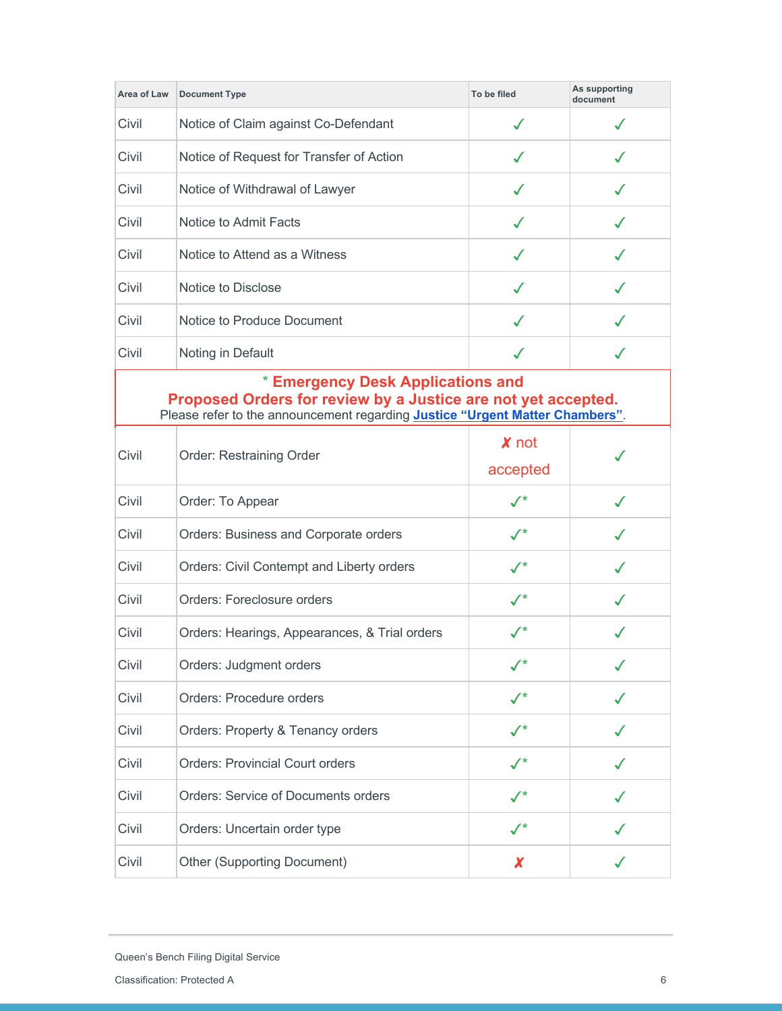| Area of Law                                                                                                                                                                                | <b>Document Type</b>                          | To be filed           | As supporting<br>document |
|--------------------------------------------------------------------------------------------------------------------------------------------------------------------------------------------|-----------------------------------------------|-----------------------|---------------------------|
| Civil                                                                                                                                                                                      | Notice of Claim against Co-Defendant          | ✓                     | ✓                         |
| Civil                                                                                                                                                                                      | Notice of Request for Transfer of Action      | ✓                     |                           |
| Civil                                                                                                                                                                                      | Notice of Withdrawal of Lawyer                | ✓                     |                           |
| Civil                                                                                                                                                                                      | Notice to Admit Facts                         | ✓                     | $\checkmark$              |
| Civil                                                                                                                                                                                      | Notice to Attend as a Witness                 | ✓                     |                           |
| Civil                                                                                                                                                                                      | Notice to Disclose                            | ✓                     |                           |
| Civil                                                                                                                                                                                      | Notice to Produce Document                    | ✓                     |                           |
| Civil                                                                                                                                                                                      | Noting in Default                             | ✓                     | $\checkmark$              |
| * Emergency Desk Applications and<br>Proposed Orders for review by a Justice are not yet accepted.<br>Please refer to the announcement regarding <b>Justice "Urgent Matter Chambers"</b> . |                                               |                       |                           |
| Civil                                                                                                                                                                                      | Order: Restraining Order                      | $x$ not<br>accepted   |                           |
| Civil                                                                                                                                                                                      | Order: To Appear                              | $\checkmark$          |                           |
| Civil                                                                                                                                                                                      | Orders: Business and Corporate orders         | $\mathcal{L}^*$       |                           |
| Civil                                                                                                                                                                                      | Orders: Civil Contempt and Liberty orders     | $\checkmark$          | ℳ                         |
| Civil                                                                                                                                                                                      | Orders: Foreclosure orders                    | ${\cal N}^{\star}$    |                           |
| Civil                                                                                                                                                                                      | Orders: Hearings, Appearances, & Trial orders | $\checkmark$          | J                         |
| Civil                                                                                                                                                                                      | Orders: Judgment orders                       |                       |                           |
| Civil                                                                                                                                                                                      | Orders: Procedure orders                      | $\checkmark$          |                           |
| Civil                                                                                                                                                                                      | Orders: Property & Tenancy orders             | $\checkmark^{\star}$  |                           |
| Civil                                                                                                                                                                                      | <b>Orders: Provincial Court orders</b>        | $\mathcal{N}^{\star}$ |                           |
| Civil                                                                                                                                                                                      | <b>Orders: Service of Documents orders</b>    | $\sqrt{*}$            |                           |
| Civil                                                                                                                                                                                      | Orders: Uncertain order type                  | $\checkmark^*$        |                           |
| Civil                                                                                                                                                                                      | Other (Supporting Document)                   | X                     |                           |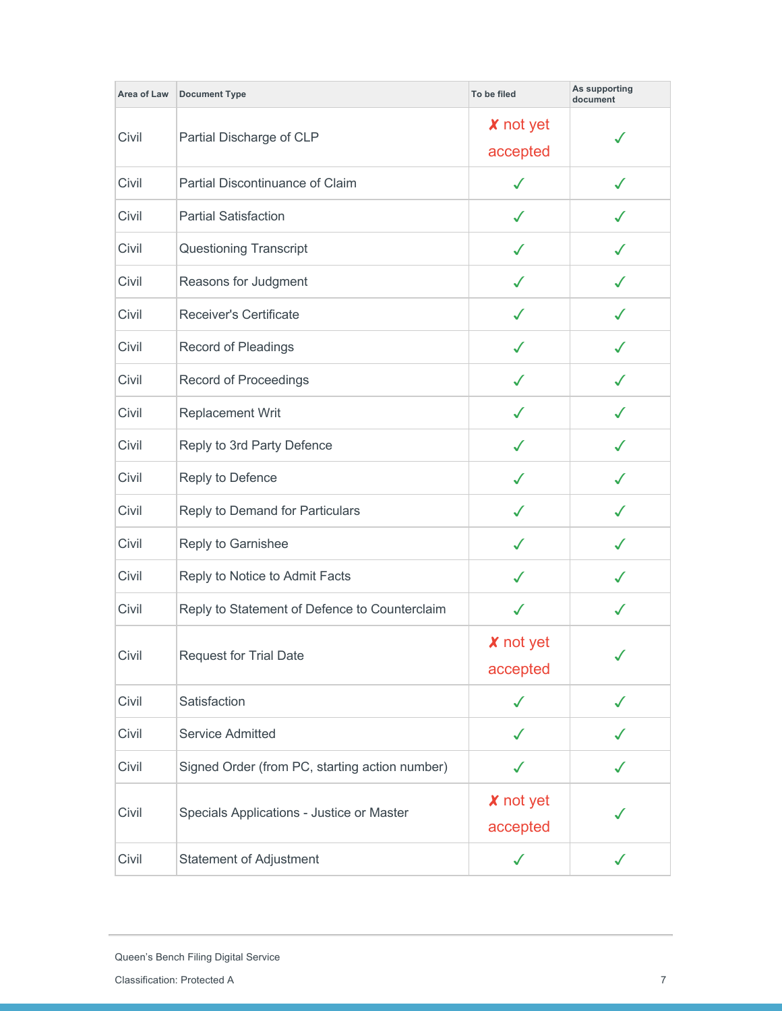| Area of Law | <b>Document Type</b>                           | To be filed                  | As supporting<br>document |
|-------------|------------------------------------------------|------------------------------|---------------------------|
| Civil       | Partial Discharge of CLP                       | <b>X</b> not yet<br>accepted |                           |
| Civil       | Partial Discontinuance of Claim                | $\checkmark$                 | $\checkmark$              |
| Civil       | <b>Partial Satisfaction</b>                    | ✓                            |                           |
| Civil       | <b>Questioning Transcript</b>                  | ✓                            | J                         |
| Civil       | Reasons for Judgment                           | ✓                            | ✓                         |
| Civil       | <b>Receiver's Certificate</b>                  | ✓                            | $\checkmark$              |
| Civil       | Record of Pleadings                            | J                            |                           |
| Civil       | Record of Proceedings                          | ✓                            |                           |
| Civil       | <b>Replacement Writ</b>                        | ✓                            |                           |
| Civil       | Reply to 3rd Party Defence                     | ✓                            |                           |
| Civil       | Reply to Defence                               | ✓                            |                           |
| Civil       | Reply to Demand for Particulars                | ✓                            | ✓                         |
| Civil       | Reply to Garnishee                             | $\checkmark$                 | $\checkmark$              |
| Civil       | Reply to Notice to Admit Facts                 | J                            |                           |
| Civil       | Reply to Statement of Defence to Counterclaim  | ✓                            | √                         |
| Civil       | <b>Request for Trial Date</b>                  | <b>X</b> not yet<br>accepted |                           |
| Civil       | Satisfaction                                   | ✓                            |                           |
| Civil       | Service Admitted                               | ✓                            | ✓                         |
| Civil       | Signed Order (from PC, starting action number) | ✓                            | $\checkmark$              |
| Civil       | Specials Applications - Justice or Master      | <b>X</b> not yet<br>accepted |                           |
| Civil       | <b>Statement of Adjustment</b>                 | $\checkmark$                 |                           |